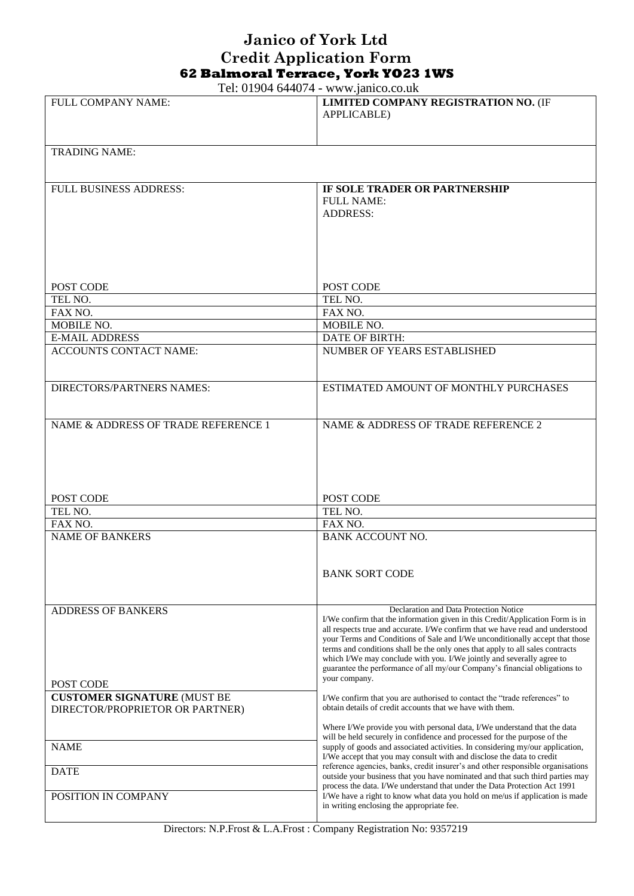## **Janico of York Ltd Credit Application Form 62 Balmoral Terrace, York YO23 1WS**

Tel: 01904 644074 - www.janico.co.uk

| FULL COMPANY NAME:                  | 1 01. 01. 0 1. 0 1. 10 <i>1.</i> 1. W W W. $\mu$ meto.co.uk<br>LIMITED COMPANY REGISTRATION NO. (IF                                                           |
|-------------------------------------|---------------------------------------------------------------------------------------------------------------------------------------------------------------|
|                                     | <b>APPLICABLE)</b>                                                                                                                                            |
|                                     |                                                                                                                                                               |
| <b>TRADING NAME:</b>                |                                                                                                                                                               |
|                                     |                                                                                                                                                               |
| <b>FULL BUSINESS ADDRESS:</b>       | IF SOLE TRADER OR PARTNERSHIP                                                                                                                                 |
|                                     | <b>FULL NAME:</b>                                                                                                                                             |
|                                     | <b>ADDRESS:</b>                                                                                                                                               |
|                                     |                                                                                                                                                               |
|                                     |                                                                                                                                                               |
|                                     |                                                                                                                                                               |
|                                     |                                                                                                                                                               |
| POST CODE<br>TEL NO.                | POST CODE<br>TEL NO.                                                                                                                                          |
| FAX NO.                             | FAX NO.                                                                                                                                                       |
| MOBILE NO.                          | MOBILE NO.                                                                                                                                                    |
| <b>E-MAIL ADDRESS</b>               | DATE OF BIRTH:                                                                                                                                                |
| <b>ACCOUNTS CONTACT NAME:</b>       | NUMBER OF YEARS ESTABLISHED                                                                                                                                   |
|                                     |                                                                                                                                                               |
| <b>DIRECTORS/PARTNERS NAMES:</b>    | ESTIMATED AMOUNT OF MONTHLY PURCHASES                                                                                                                         |
|                                     |                                                                                                                                                               |
|                                     |                                                                                                                                                               |
| NAME & ADDRESS OF TRADE REFERENCE 1 | NAME & ADDRESS OF TRADE REFERENCE 2                                                                                                                           |
|                                     |                                                                                                                                                               |
|                                     |                                                                                                                                                               |
|                                     |                                                                                                                                                               |
| POST CODE                           | POST CODE                                                                                                                                                     |
| TEL NO.                             | TEL NO.                                                                                                                                                       |
| FAX NO.                             | FAX NO.                                                                                                                                                       |
| <b>NAME OF BANKERS</b>              | <b>BANK ACCOUNT NO.</b>                                                                                                                                       |
|                                     |                                                                                                                                                               |
|                                     | <b>BANK SORT CODE</b>                                                                                                                                         |
|                                     |                                                                                                                                                               |
|                                     |                                                                                                                                                               |
| <b>ADDRESS OF BANKERS</b>           | Declaration and Data Protection Notice<br>I/We confirm that the information given in this Credit/Application Form is in                                       |
|                                     | all respects true and accurate. I/We confirm that we have read and understood                                                                                 |
|                                     | your Terms and Conditions of Sale and I/We unconditionally accept that those<br>terms and conditions shall be the only ones that apply to all sales contracts |
|                                     | which I/We may conclude with you. I/We jointly and severally agree to<br>guarantee the performance of all my/our Company's financial obligations to           |
| POST CODE                           | your company.                                                                                                                                                 |
| <b>CUSTOMER SIGNATURE (MUST BE</b>  | I/We confirm that you are authorised to contact the "trade references" to                                                                                     |
| DIRECTOR/PROPRIETOR OR PARTNER)     | obtain details of credit accounts that we have with them.                                                                                                     |
|                                     | Where I/We provide you with personal data, I/We understand that the data                                                                                      |
|                                     | will be held securely in confidence and processed for the purpose of the                                                                                      |
| <b>NAME</b>                         | supply of goods and associated activities. In considering my/our application,<br>I/We accept that you may consult with and disclose the data to credit        |
| <b>DATE</b>                         | reference agencies, banks, credit insurer's and other responsible organisations                                                                               |
|                                     | outside your business that you have nominated and that such third parties may<br>process the data. I/We understand that under the Data Protection Act 1991    |
| POSITION IN COMPANY                 | I/We have a right to know what data you hold on me/us if application is made<br>in writing enclosing the appropriate fee.                                     |
|                                     |                                                                                                                                                               |